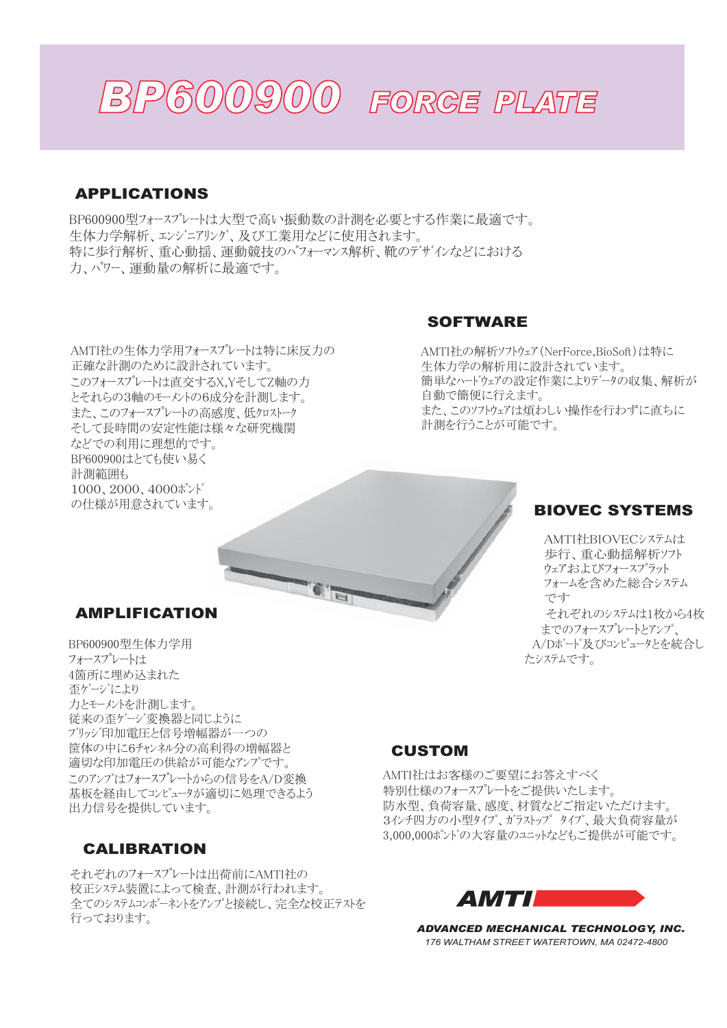

## APPLICATIONS

BP600900型フォースプレートは大型で高い振動数の計測を必要とする作業に最適です。 生体力学解析、エンジニアリング、及び工業用などに使用されます。 特に歩行解析、重心動揺、運動競技のパフォーマンス解析、靴のデザインなどにおける 力、パワー、渾動量の解析に最適です。

AMTI社の生体力学用フォースプレートは特に床反力の 正確な計測のために設計されています。 このフォースプレートは直交するX.YそしてZ軸の力 とそれらの3軸のモーメントの6成分を計測します。 また、このフォースプレートの高感度、低クロストーク そして長時間の安定性能は様々な研究機関 などでの利用に理想的です。 BP600900はとても使い易く 計測範囲も 1000、2000、4000ポンド の仕様が用意されています。

### SOFTWARE

AMTI社の解析ソフトウェア (NerForce,BioSoft)は特に 生体力学の解析用に設計されています。 簡単なハードウェアの設定作業によりデータの収集、解析が 自動で簡便に行えます。 また、このソフトウェアは煩わしい操作を行わずに直ちに 計測を行うことが可能です。

# BIOVEC SYSTEMS

AMTI社BIOVECシステムは 歩行、重心動揺解析ソフト ウェアおよびフォースプラット フォームを含めた総合システム  $\tau$ それぞれのシステムは1枚から4枚 までのフォースプレート*とアンプ*、 A/Dボード及びコンピュータとを統合し たシステムです。

### AMPLIFICATION

BP600900型生体力学用 フォースプレートは 4箇所に埋め込まれた 否ヶ゙ージにより 力とモーメントを計測します。 従来の歪ゲージ変換器と同じように ブリッジ印加雷圧と信号増幅器が一つの 筐体の中に6チャンネル分の高利得の増幅器と 適切な印加電圧の供給が可能なアンプです。 このアンプはフォースプレートからの信号をA/D変換 基板を経由してコンピュータが適切に処理できるよう 出力信号を提供しています。

#### CALIBRATION

それぞれのフォースプレートは出荷前にAMTI社の 校正システム装置によって検査、計測が行われます。 含てのシステムコンポーネントネアンプと接続し、完全な校正テストネ 行っております。

# CUSTOM

AMTI社はお客様のご要望にお答えすべく 特別仕様のフォースプレートをご提供いたします。 防水型、負荷容量、感度、材質などご指定いただけます。 3インチ四方の小型タイプ、ガラストップ タイプ、最大負荷容量が 3,000,000ポンドの大容量のユニットなどもご提供が可能です。



*ADVANCED MECHANICAL TECHNOLOGY, INC. 176 WALTHAM STREET WATERTOWN, MA 02472-4800*